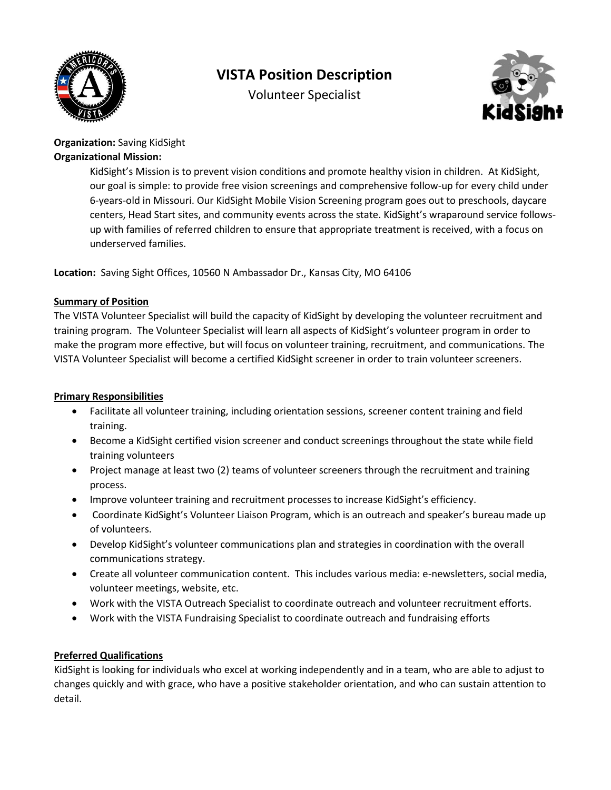

# **VISTA Position Description**

Volunteer Specialist



## **Organization:** Saving KidSight **Organizational Mission:**

KidSight's Mission is to prevent vision conditions and promote healthy vision in children. At KidSight, our goal is simple: to provide free vision screenings and comprehensive follow-up for every child under 6-years-old in Missouri. Our KidSight Mobile Vision Screening program goes out to preschools, daycare centers, Head Start sites, and community events across the state. KidSight's wraparound service followsup with families of referred children to ensure that appropriate treatment is received, with a focus on underserved families.

**Location:** Saving Sight Offices, 10560 N Ambassador Dr., Kansas City, MO 64106

### **Summary of Position**

The VISTA Volunteer Specialist will build the capacity of KidSight by developing the volunteer recruitment and training program. The Volunteer Specialist will learn all aspects of KidSight's volunteer program in order to make the program more effective, but will focus on volunteer training, recruitment, and communications. The VISTA Volunteer Specialist will become a certified KidSight screener in order to train volunteer screeners.

## **Primary Responsibilities**

- Facilitate all volunteer training, including orientation sessions, screener content training and field training.
- Become a KidSight certified vision screener and conduct screenings throughout the state while field training volunteers
- Project manage at least two (2) teams of volunteer screeners through the recruitment and training process.
- Improve volunteer training and recruitment processes to increase KidSight's efficiency.
- Coordinate KidSight's Volunteer Liaison Program, which is an outreach and speaker's bureau made up of volunteers.
- Develop KidSight's volunteer communications plan and strategies in coordination with the overall communications strategy.
- Create all volunteer communication content. This includes various media: e-newsletters, social media, volunteer meetings, website, etc.
- Work with the VISTA Outreach Specialist to coordinate outreach and volunteer recruitment efforts.
- Work with the VISTA Fundraising Specialist to coordinate outreach and fundraising efforts

# **Preferred Qualifications**

KidSight is looking for individuals who excel at working independently and in a team, who are able to adjust to changes quickly and with grace, who have a positive stakeholder orientation, and who can sustain attention to detail.